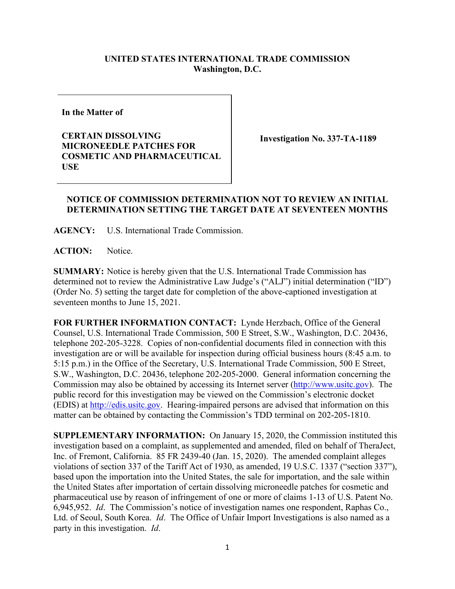## **UNITED STATES INTERNATIONAL TRADE COMMISSION Washington, D.C.**

**In the Matter of**

**CERTAIN DISSOLVING MICRONEEDLE PATCHES FOR COSMETIC AND PHARMACEUTICAL USE**

**Investigation No. 337-TA-1189**

## **NOTICE OF COMMISSION DETERMINATION NOT TO REVIEW AN INITIAL DETERMINATION SETTING THE TARGET DATE AT SEVENTEEN MONTHS**

**AGENCY:** U.S. International Trade Commission.

**ACTION:** Notice.

**SUMMARY:** Notice is hereby given that the U.S. International Trade Commission has determined not to review the Administrative Law Judge's ("ALJ") initial determination ("ID") (Order No. 5) setting the target date for completion of the above-captioned investigation at seventeen months to June 15, 2021.

**FOR FURTHER INFORMATION CONTACT:** Lynde Herzbach, Office of the General Counsel, U.S. International Trade Commission, 500 E Street, S.W., Washington, D.C. 20436, telephone 202-205-3228. Copies of non-confidential documents filed in connection with this investigation are or will be available for inspection during official business hours (8:45 a.m. to 5:15 p.m.) in the Office of the Secretary, U.S. International Trade Commission, 500 E Street, S.W., Washington, D.C. 20436, telephone 202-205-2000. General information concerning the Commission may also be obtained by accessing its Internet server [\(http://www.usitc.gov\)](http://www.usitc.gov/). The public record for this investigation may be viewed on the Commission's electronic docket (EDIS) at [http://edis.usitc.gov.](http://edis.usitc.gov/) Hearing-impaired persons are advised that information on this matter can be obtained by contacting the Commission's TDD terminal on 202-205-1810.

**SUPPLEMENTARY INFORMATION:** On January 15, 2020, the Commission instituted this investigation based on a complaint, as supplemented and amended, filed on behalf of TheraJect, Inc. of Fremont, California. 85 FR 2439-40 (Jan. 15, 2020). The amended complaint alleges violations of section 337 of the Tariff Act of 1930, as amended, 19 U.S.C. 1337 ("section 337"), based upon the importation into the United States, the sale for importation, and the sale within the United States after importation of certain dissolving microneedle patches for cosmetic and pharmaceutical use by reason of infringement of one or more of claims 1-13 of U.S. Patent No. 6,945,952. *Id*. The Commission's notice of investigation names one respondent, Raphas Co., Ltd. of Seoul, South Korea. *Id*. The Office of Unfair Import Investigations is also named as a party in this investigation. *Id*.